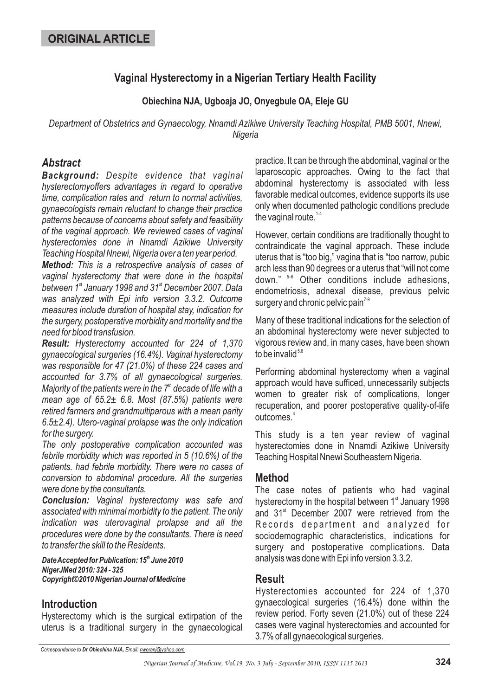# **Vaginal Hysterectomy in a Nigerian Tertiary Health Facility**

## **Obiechina NJA, Ugboaja JO, Onyegbule OA, Eleje GU**

*Department of Obstetrics and Gynaecology, Nnamdi Azikiwe University Teaching Hospital, PMB 5001, Nnewi, Nigeria*

# *Abstract*

*Background: Despite evidence that vaginal hysterectomyoffers advantages in regard to operative time, complication rates and return to normal activities, gynaecologists remain reluctant to change their practice patterns because of concerns about safety and feasibility of the vaginal approach. We reviewed cases of vaginal hysterectomies done in Nnamdi Azikiwe University Teaching Hospital Nnewi, Nigeria over a ten year period.*

*Method: This is a retrospective analysis of cases of vaginal hysterectomy that were done in the hospital* between 1<sup>st</sup> January 1998 and 31<sup>st</sup> December 2007. Data *was analyzed with Epi info version 3.3.2. Outcome measures include duration of hospital stay, indication for the surgery, postoperative morbidity and mortality and the need for blood transfusion.*

*Result: Hysterectomy accounted for 224 of 1,370 gynaecological surgeries (16.4%). Vaginal hysterectomy was responsible for 47 (21.0%) of these 224 cases and accounted for 3.7% of all gynaecological surgeries.* Majority of the patients were in the 7<sup>th</sup> decade of life with a *mean age of 65.2± 6.8. Most (87.5%) patients were retired farmers and grandmultiparous with a mean parity 6.5±2.4). Utero-vaginal prolapse was the only indication for the surgery.*

*The only postoperative complication accounted was febrile morbidity which was reported in 5 (10.6%) of the patients. had febrile morbidity. There were no cases of conversion to abdominal procedure. All the surgeries were done by the consultants.*

*Conclusion: Vaginal hysterectomy was safe and associated with minimal morbidity to the patient. The only indication was uterovaginal prolapse and all the procedures were done by the consultants. There is need to transfer the skill to the Residents.*

*Date Accepted for Publication: 15<sup>th</sup> June 2010 NigerJMed 2010: 324 - 325 Copyright©2010 Nigerian Journal of Medicine*

# **Introduction**

Hysterectomy which is the surgical extirpation of the uterus is a traditional surgery in the gynaecological practice. It can be through the abdominal, vaginal or the laparoscopic approaches. Owing to the fact that abdominal hysterectomy is associated with less favorable medical outcomes, evidence supports its use only when documented pathologic conditions preclude the vaginal route.<sup>1-4</sup>

However, certain conditions are traditionally thought to contraindicate the vaginal approach. These include uterus that is "too big," vagina that is "too narrow, pubic arch less than 90 degrees or a uterus that "will not come down." <sup>5-6</sup> Other conditions include adhesions, endometriosis, adnexal disease, previous pelvic surgery and chronic pelvic pain $^{7\text{-}9}$ 

Many of these traditional indications for the selection of an abdominal hysterectomy were never subjected to vigorous review and, in many cases, have been shown to be invalid $^{\scriptscriptstyle 5,6}$ 

Performing abdominal hysterectomy when a vaginal approach would have sufficed, unnecessarily subjects women to greater risk of complications, longer recuperation, and poorer postoperative quality-of-life outcomes. 4

This study is a ten year review of vaginal hysterectomies done in Nnamdi Azikiwe University Teaching Hospital Nnewi Southeastern Nigeria.

## **Method**

The case notes of patients who had vaginal hysterectomy in the hospital between 1<sup>st</sup> January 1998 and 31<sup>st</sup> December 2007 were retrieved from the Records department and analyzed for sociodemographic characteristics, indications for surgery and postoperative complications. Data analysis was done with Epi info version 3.3.2.

## **Result**

Hysterectomies accounted for 224 of 1,370 gynaecological surgeries (16.4%) done within the review period. Forty seven (21.0%) out of these 224 cases were vaginal hysterectomies and accounted for 3.7% of all gynaecological surgeries.

*Correspondence to Email: Dr Obiechina NJA, nworanj@yahoo.com*